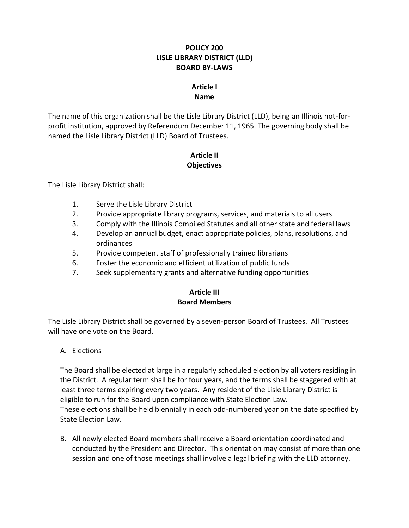### **POLICY 200 LISLE LIBRARY DISTRICT (LLD) BOARD BY-LAWS**

#### **Article I Name**

The name of this organization shall be the Lisle Library District (LLD), being an Illinois not-forprofit institution, approved by Referendum December 11, 1965. The governing body shall be named the Lisle Library District (LLD) Board of Trustees.

#### **Article II Objectives**

The Lisle Library District shall:

- 1. Serve the Lisle Library District
- 2. Provide appropriate library programs, services, and materials to all users
- 3. Comply with the Illinois Compiled Statutes and all other state and federal laws
- 4. Develop an annual budget, enact appropriate policies, plans, resolutions, and ordinances
- 5. Provide competent staff of professionally trained librarians
- 6. Foster the economic and efficient utilization of public funds
- 7. Seek supplementary grants and alternative funding opportunities

### **Article III Board Members**

The Lisle Library District shall be governed by a seven-person Board of Trustees. All Trustees will have one vote on the Board.

### A. Elections

The Board shall be elected at large in a regularly scheduled election by all voters residing in the District. A regular term shall be for four years, and the terms shall be staggered with at least three terms expiring every two years. Any resident of the Lisle Library District is eligible to run for the Board upon compliance with State Election Law. These elections shall be held biennially in each odd-numbered year on the date specified by State Election Law.

B. All newly elected Board members shall receive a Board orientation coordinated and conducted by the President and Director. This orientation may consist of more than one session and one of those meetings shall involve a legal briefing with the LLD attorney.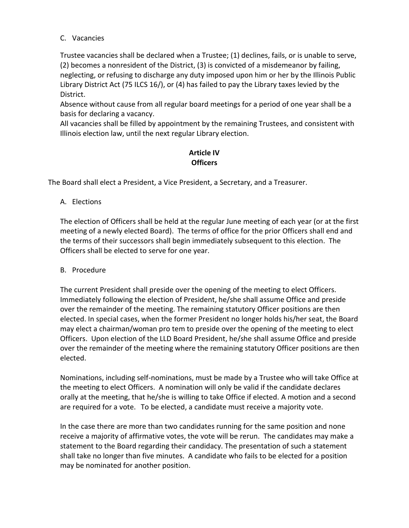#### C. Vacancies

Trustee vacancies shall be declared when a Trustee; (1) declines, fails, or is unable to serve, (2) becomes a nonresident of the District, (3) is convicted of a misdemeanor by failing, neglecting, or refusing to discharge any duty imposed upon him or her by the Illinois Public Library District Act (75 ILCS 16/), or (4) has failed to pay the Library taxes levied by the District.

Absence without cause from all regular board meetings for a period of one year shall be a basis for declaring a vacancy.

All vacancies shall be filled by appointment by the remaining Trustees, and consistent with Illinois election law, until the next regular Library election.

# **Article IV Officers**

The Board shall elect a President, a Vice President, a Secretary, and a Treasurer.

### A. Elections

The election of Officers shall be held at the regular June meeting of each year (or at the first meeting of a newly elected Board). The terms of office for the prior Officers shall end and the terms of their successors shall begin immediately subsequent to this election. The Officers shall be elected to serve for one year.

### B. Procedure

The current President shall preside over the opening of the meeting to elect Officers. Immediately following the election of President, he/she shall assume Office and preside over the remainder of the meeting. The remaining statutory Officer positions are then elected. In special cases, when the former President no longer holds his/her seat, the Board may elect a chairman/woman pro tem to preside over the opening of the meeting to elect Officers. Upon election of the LLD Board President, he/she shall assume Office and preside over the remainder of the meeting where the remaining statutory Officer positions are then elected.

Nominations, including self-nominations, must be made by a Trustee who will take Office at the meeting to elect Officers. A nomination will only be valid if the candidate declares orally at the meeting, that he/she is willing to take Office if elected. A motion and a second are required for a vote. To be elected, a candidate must receive a majority vote.

In the case there are more than two candidates running for the same position and none receive a majority of affirmative votes, the vote will be rerun. The candidates may make a statement to the Board regarding their candidacy. The presentation of such a statement shall take no longer than five minutes. A candidate who fails to be elected for a position may be nominated for another position.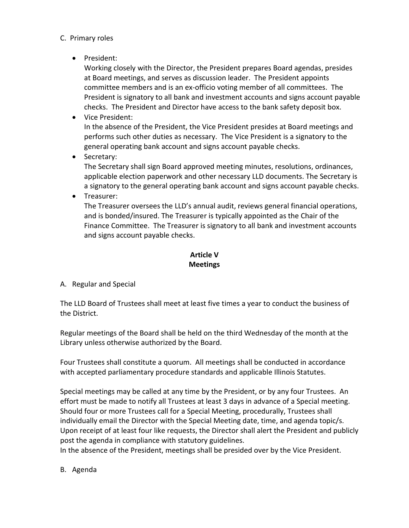### C. Primary roles

• President:

Working closely with the Director, the President prepares Board agendas, presides at Board meetings, and serves as discussion leader. The President appoints committee members and is an ex-officio voting member of all committees. The President is signatory to all bank and investment accounts and signs account payable checks. The President and Director have access to the bank safety deposit box.

- Vice President: In the absence of the President, the Vice President presides at Board meetings and performs such other duties as necessary. The Vice President is a signatory to the general operating bank account and signs account payable checks.
- Secretary:

The Secretary shall sign Board approved meeting minutes, resolutions, ordinances, applicable election paperwork and other necessary LLD documents. The Secretary is a signatory to the general operating bank account and signs account payable checks.

• Treasurer:

The Treasurer oversees the LLD's annual audit, reviews general financial operations, and is bonded/insured. The Treasurer is typically appointed as the Chair of the Finance Committee. The Treasurer is signatory to all bank and investment accounts and signs account payable checks.

# **Article V Meetings**

A. Regular and Special

The LLD Board of Trustees shall meet at least five times a year to conduct the business of the District.

Regular meetings of the Board shall be held on the third Wednesday of the month at the Library unless otherwise authorized by the Board.

Four Trustees shall constitute a quorum. All meetings shall be conducted in accordance with accepted parliamentary procedure standards and applicable Illinois Statutes.

Special meetings may be called at any time by the President, or by any four Trustees. An effort must be made to notify all Trustees at least 3 days in advance of a Special meeting. Should four or more Trustees call for a Special Meeting, procedurally, Trustees shall individually email the Director with the Special Meeting date, time, and agenda topic/s. Upon receipt of at least four like requests, the Director shall alert the President and publicly post the agenda in compliance with statutory guidelines.

In the absence of the President, meetings shall be presided over by the Vice President.

B. Agenda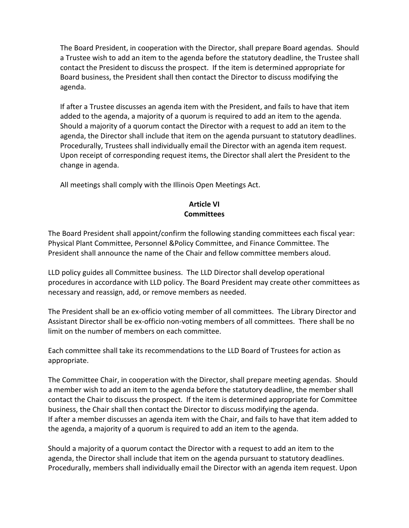The Board President, in cooperation with the Director, shall prepare Board agendas. Should a Trustee wish to add an item to the agenda before the statutory deadline, the Trustee shall contact the President to discuss the prospect. If the item is determined appropriate for Board business, the President shall then contact the Director to discuss modifying the agenda.

If after a Trustee discusses an agenda item with the President, and fails to have that item added to the agenda, a majority of a quorum is required to add an item to the agenda. Should a majority of a quorum contact the Director with a request to add an item to the agenda, the Director shall include that item on the agenda pursuant to statutory deadlines. Procedurally, Trustees shall individually email the Director with an agenda item request. Upon receipt of corresponding request items, the Director shall alert the President to the change in agenda.

All meetings shall comply with the Illinois Open Meetings Act.

# **Article VI Committees**

The Board President shall appoint/confirm the following standing committees each fiscal year: Physical Plant Committee, Personnel &Policy Committee, and Finance Committee. The President shall announce the name of the Chair and fellow committee members aloud.

LLD policy guides all Committee business. The LLD Director shall develop operational procedures in accordance with LLD policy. The Board President may create other committees as necessary and reassign, add, or remove members as needed.

The President shall be an ex-officio voting member of all committees. The Library Director and Assistant Director shall be ex-officio non-voting members of all committees. There shall be no limit on the number of members on each committee.

Each committee shall take its recommendations to the LLD Board of Trustees for action as appropriate.

The Committee Chair, in cooperation with the Director, shall prepare meeting agendas. Should a member wish to add an item to the agenda before the statutory deadline, the member shall contact the Chair to discuss the prospect. If the item is determined appropriate for Committee business, the Chair shall then contact the Director to discuss modifying the agenda. If after a member discusses an agenda item with the Chair, and fails to have that item added to the agenda, a majority of a quorum is required to add an item to the agenda.

Should a majority of a quorum contact the Director with a request to add an item to the agenda, the Director shall include that item on the agenda pursuant to statutory deadlines. Procedurally, members shall individually email the Director with an agenda item request. Upon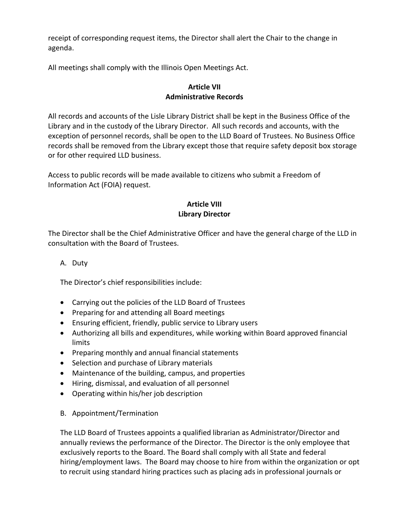receipt of corresponding request items, the Director shall alert the Chair to the change in agenda.

All meetings shall comply with the Illinois Open Meetings Act.

# **Article VII Administrative Records**

All records and accounts of the Lisle Library District shall be kept in the Business Office of the Library and in the custody of the Library Director. All such records and accounts, with the exception of personnel records, shall be open to the LLD Board of Trustees. No Business Office records shall be removed from the Library except those that require safety deposit box storage or for other required LLD business.

Access to public records will be made available to citizens who submit a Freedom of Information Act (FOIA) request.

### **Article VIII Library Director**

The Director shall be the Chief Administrative Officer and have the general charge of the LLD in consultation with the Board of Trustees.

# A. Duty

The Director's chief responsibilities include:

- Carrying out the policies of the LLD Board of Trustees
- Preparing for and attending all Board meetings
- Ensuring efficient, friendly, public service to Library users
- Authorizing all bills and expenditures, while working within Board approved financial limits
- Preparing monthly and annual financial statements
- Selection and purchase of Library materials
- Maintenance of the building, campus, and properties
- Hiring, dismissal, and evaluation of all personnel
- Operating within his/her job description
- B. Appointment/Termination

The LLD Board of Trustees appoints a qualified librarian as Administrator/Director and annually reviews the performance of the Director. The Director is the only employee that exclusively reports to the Board. The Board shall comply with all State and federal hiring/employment laws. The Board may choose to hire from within the organization or opt to recruit using standard hiring practices such as placing ads in professional journals or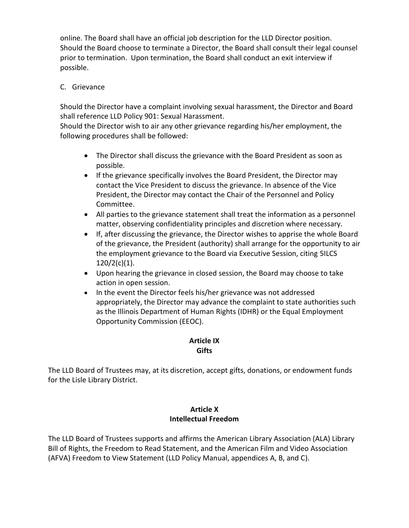online. The Board shall have an official job description for the LLD Director position. Should the Board choose to terminate a Director, the Board shall consult their legal counsel prior to termination. Upon termination, the Board shall conduct an exit interview if possible.

#### C. Grievance

Should the Director have a complaint involving sexual harassment, the Director and Board shall reference LLD Policy 901: Sexual Harassment.

Should the Director wish to air any other grievance regarding his/her employment, the following procedures shall be followed:

- The Director shall discuss the grievance with the Board President as soon as possible.
- If the grievance specifically involves the Board President, the Director may contact the Vice President to discuss the grievance. In absence of the Vice President, the Director may contact the Chair of the Personnel and Policy Committee.
- All parties to the grievance statement shall treat the information as a personnel matter, observing confidentiality principles and discretion where necessary.
- If, after discussing the grievance, the Director wishes to apprise the whole Board of the grievance, the President (authority) shall arrange for the opportunity to air the employment grievance to the Board via Executive Session, citing 5ILCS  $120/2(c)(1)$ .
- Upon hearing the grievance in closed session, the Board may choose to take action in open session.
- In the event the Director feels his/her grievance was not addressed appropriately, the Director may advance the complaint to state authorities such as the Illinois Department of Human Rights (IDHR) or the Equal Employment Opportunity Commission (EEOC).

### **Article IX Gifts**

The LLD Board of Trustees may, at its discretion, accept gifts, donations, or endowment funds for the Lisle Library District.

### **Article X Intellectual Freedom**

The LLD Board of Trustees supports and affirms the American Library Association (ALA) Library Bill of Rights, the Freedom to Read Statement, and the American Film and Video Association (AFVA) Freedom to View Statement (LLD Policy Manual, appendices A, B, and C).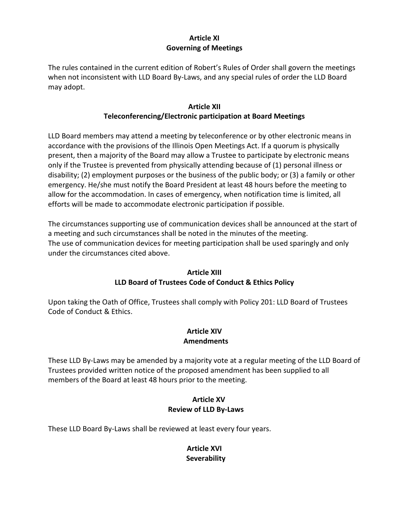### **Article XI Governing of Meetings**

The rules contained in the current edition of Robert's Rules of Order shall govern the meetings when not inconsistent with LLD Board By-Laws, and any special rules of order the LLD Board may adopt.

# **Article XII Teleconferencing/Electronic participation at Board Meetings**

LLD Board members may attend a meeting by teleconference or by other electronic means in accordance with the provisions of the Illinois Open Meetings Act. If a quorum is physically present, then a majority of the Board may allow a Trustee to participate by electronic means only if the Trustee is prevented from physically attending because of (1) personal illness or disability; (2) employment purposes or the business of the public body; or (3) a family or other emergency. He/she must notify the Board President at least 48 hours before the meeting to allow for the accommodation. In cases of emergency, when notification time is limited, all efforts will be made to accommodate electronic participation if possible.

The circumstances supporting use of communication devices shall be announced at the start of a meeting and such circumstances shall be noted in the minutes of the meeting. The use of communication devices for meeting participation shall be used sparingly and only under the circumstances cited above.

# **Article XIII**

# **LLD Board of Trustees Code of Conduct & Ethics Policy**

Upon taking the Oath of Office, Trustees shall comply with Policy 201: LLD Board of Trustees Code of Conduct & Ethics.

### **Article XIV Amendments**

These LLD By-Laws may be amended by a majority vote at a regular meeting of the LLD Board of Trustees provided written notice of the proposed amendment has been supplied to all members of the Board at least 48 hours prior to the meeting.

### **Article XV Review of LLD By-Laws**

These LLD Board By-Laws shall be reviewed at least every four years.

### **Article XVI Severability**